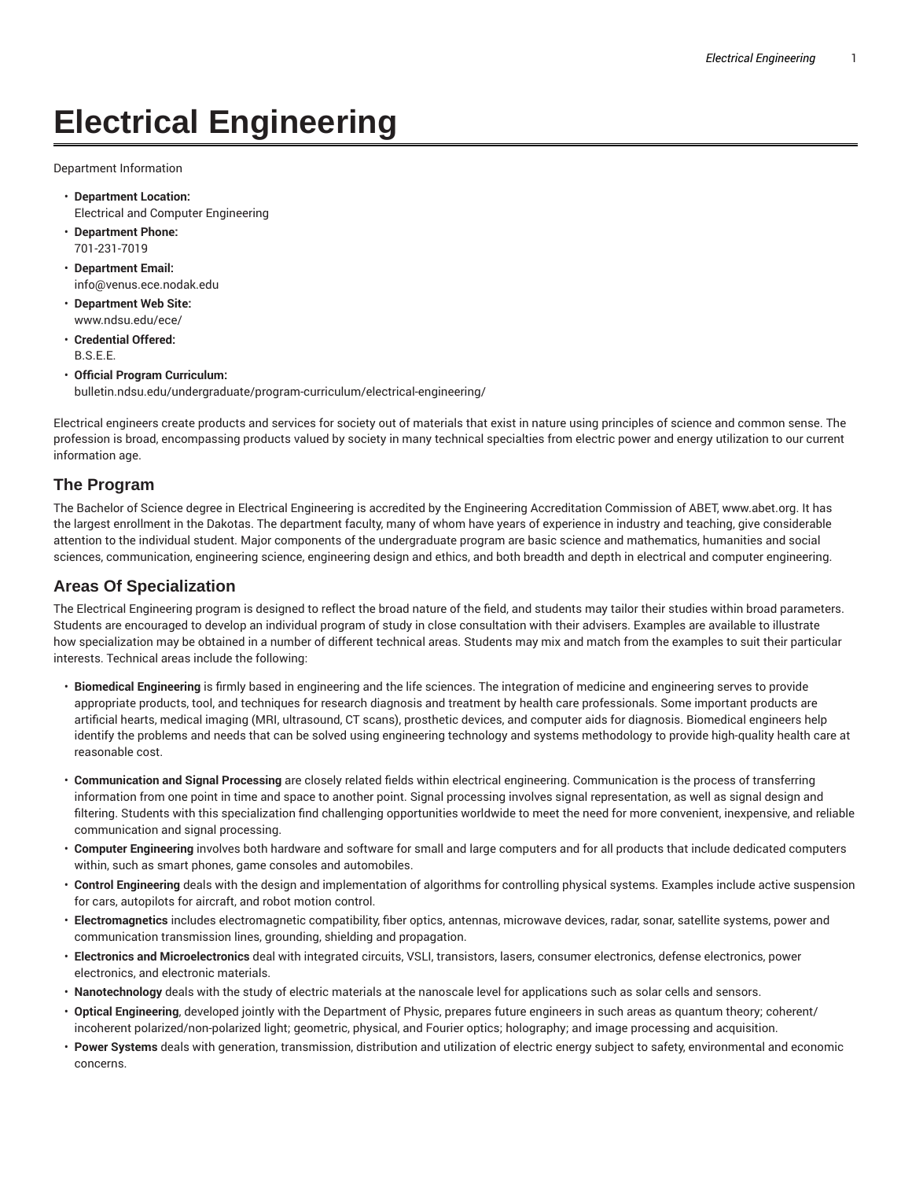# **Electrical Engineering**

Department Information

- **Department Location:** Electrical and Computer Engineering
- **Department Phone:** 701-231-7019
- **Department Email:** info@venus.ece.nodak.edu
- **Department Web Site:** www.ndsu.edu/ece/
- **Credential Offered:** B.S.E.E.
- **Official Program Curriculum:** bulletin.ndsu.edu/undergraduate/program-curriculum/electrical-engineering/

Electrical engineers create products and services for society out of materials that exist in nature using principles of science and common sense. The profession is broad, encompassing products valued by society in many technical specialties from electric power and energy utilization to our current information age.

#### **The Program**

The Bachelor of Science degree in Electrical Engineering is accredited by the Engineering Accreditation Commission of ABET, www.abet.org. It has the largest enrollment in the Dakotas. The department faculty, many of whom have years of experience in industry and teaching, give considerable attention to the individual student. Major components of the undergraduate program are basic science and mathematics, humanities and social sciences, communication, engineering science, engineering design and ethics, and both breadth and depth in electrical and computer engineering.

#### **Areas Of Specialization**

The Electrical Engineering program is designed to reflect the broad nature of the field, and students may tailor their studies within broad parameters. Students are encouraged to develop an individual program of study in close consultation with their advisers. Examples are available to illustrate how specialization may be obtained in a number of different technical areas. Students may mix and match from the examples to suit their particular interests. Technical areas include the following:

- **Biomedical Engineering** is firmly based in engineering and the life sciences. The integration of medicine and engineering serves to provide appropriate products, tool, and techniques for research diagnosis and treatment by health care professionals. Some important products are artificial hearts, medical imaging (MRI, ultrasound, CT scans), prosthetic devices, and computer aids for diagnosis. Biomedical engineers help identify the problems and needs that can be solved using engineering technology and systems methodology to provide high-quality health care at reasonable cost.
- **Communication and Signal Processing** are closely related fields within electrical engineering. Communication is the process of transferring information from one point in time and space to another point. Signal processing involves signal representation, as well as signal design and filtering. Students with this specialization find challenging opportunities worldwide to meet the need for more convenient, inexpensive, and reliable communication and signal processing.
- **Computer Engineering** involves both hardware and software for small and large computers and for all products that include dedicated computers within, such as smart phones, game consoles and automobiles.
- **Control Engineering** deals with the design and implementation of algorithms for controlling physical systems. Examples include active suspension for cars, autopilots for aircraft, and robot motion control.
- **Electromagnetics** includes electromagnetic compatibility, fiber optics, antennas, microwave devices, radar, sonar, satellite systems, power and communication transmission lines, grounding, shielding and propagation.
- **Electronics and Microelectronics** deal with integrated circuits, VSLI, transistors, lasers, consumer electronics, defense electronics, power electronics, and electronic materials.
- **Nanotechnology** deals with the study of electric materials at the nanoscale level for applications such as solar cells and sensors.
- **Optical Engineering**, developed jointly with the Department of Physic, prepares future engineers in such areas as quantum theory; coherent/ incoherent polarized/non-polarized light; geometric, physical, and Fourier optics; holography; and image processing and acquisition.
- **Power Systems** deals with generation, transmission, distribution and utilization of electric energy subject to safety, environmental and economic concerns.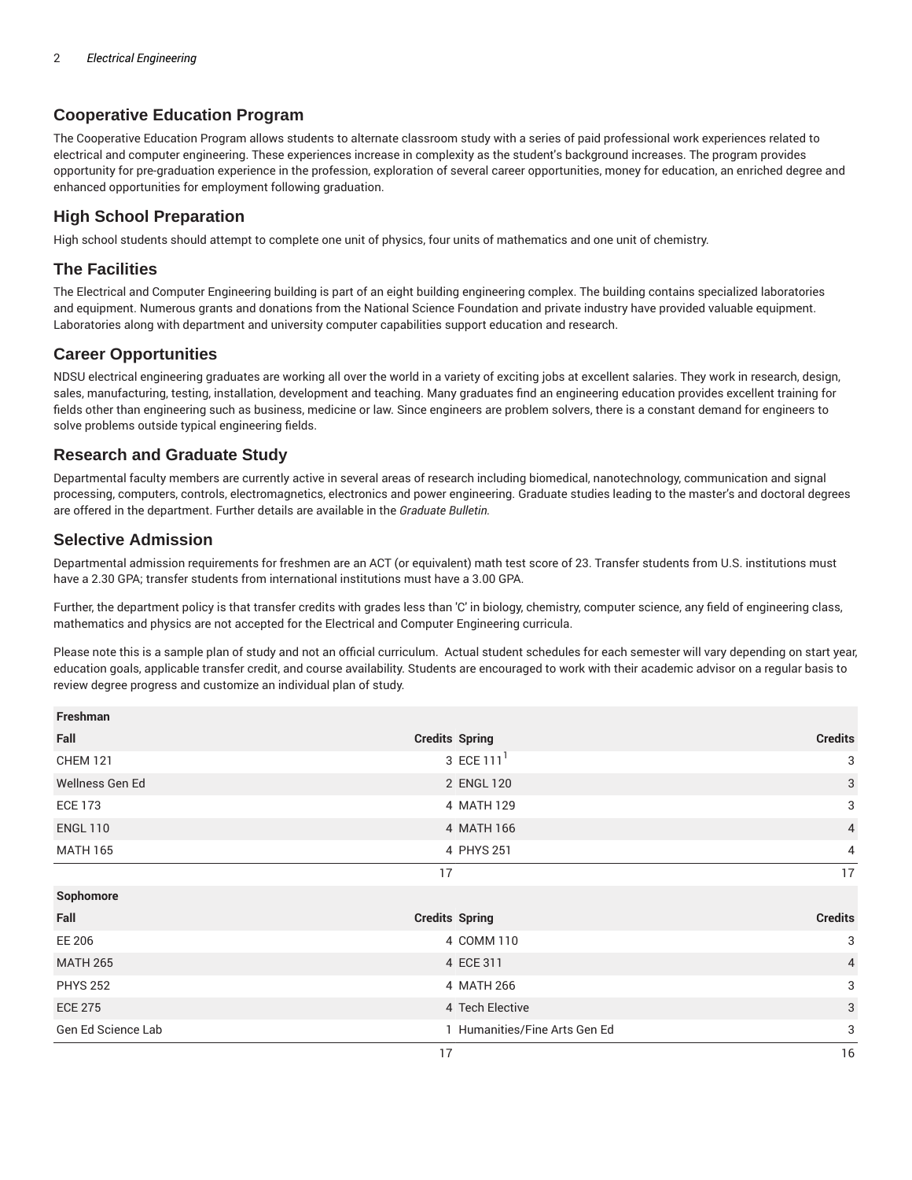## **Cooperative Education Program**

The Cooperative Education Program allows students to alternate classroom study with a series of paid professional work experiences related to electrical and computer engineering. These experiences increase in complexity as the student's background increases. The program provides opportunity for pre-graduation experience in the profession, exploration of several career opportunities, money for education, an enriched degree and enhanced opportunities for employment following graduation.

#### **High School Preparation**

High school students should attempt to complete one unit of physics, four units of mathematics and one unit of chemistry.

#### **The Facilities**

The Electrical and Computer Engineering building is part of an eight building engineering complex. The building contains specialized laboratories and equipment. Numerous grants and donations from the National Science Foundation and private industry have provided valuable equipment. Laboratories along with department and university computer capabilities support education and research.

#### **Career Opportunities**

NDSU electrical engineering graduates are working all over the world in a variety of exciting jobs at excellent salaries. They work in research, design, sales, manufacturing, testing, installation, development and teaching. Many graduates find an engineering education provides excellent training for fields other than engineering such as business, medicine or law. Since engineers are problem solvers, there is a constant demand for engineers to solve problems outside typical engineering fields.

### **Research and Graduate Study**

Departmental faculty members are currently active in several areas of research including biomedical, nanotechnology, communication and signal processing, computers, controls, electromagnetics, electronics and power engineering. Graduate studies leading to the master's and doctoral degrees are offered in the department. Further details are available in the *Graduate Bulletin.*

#### **Selective Admission**

Departmental admission requirements for freshmen are an ACT (or equivalent) math test score of 23. Transfer students from U.S. institutions must have a 2.30 GPA; transfer students from international institutions must have a 3.00 GPA.

Further, the department policy is that transfer credits with grades less than 'C' in biology, chemistry, computer science, any field of engineering class, mathematics and physics are not accepted for the Electrical and Computer Engineering curricula.

Please note this is a sample plan of study and not an official curriculum. Actual student schedules for each semester will vary depending on start year, education goals, applicable transfer credit, and course availability. Students are encouraged to work with their academic advisor on a regular basis to review degree progress and customize an individual plan of study.

| Freshman           |                               |                |
|--------------------|-------------------------------|----------------|
| Fall               | <b>Credits Spring</b>         | <b>Credits</b> |
| <b>CHEM 121</b>    | 3 ECE 111 <sup>1</sup>        | 3              |
| Wellness Gen Ed    | 2 ENGL 120                    | 3              |
| <b>ECE 173</b>     | 4 MATH 129                    | 3              |
| <b>ENGL 110</b>    | 4 MATH 166                    | $\overline{4}$ |
| <b>MATH 165</b>    | 4 PHYS 251                    | $\overline{4}$ |
|                    | 17                            | 17             |
| Sophomore          |                               |                |
| Fall               | <b>Credits Spring</b>         | <b>Credits</b> |
| EE 206             | 4 COMM 110                    | 3              |
| <b>MATH 265</b>    | 4 ECE 311                     | $\overline{4}$ |
| <b>PHYS 252</b>    | 4 MATH 266                    | 3              |
| <b>ECE 275</b>     | 4 Tech Elective               | 3              |
| Gen Ed Science Lab | 1 Humanities/Fine Arts Gen Ed | 3              |
|                    | 17                            | 16             |